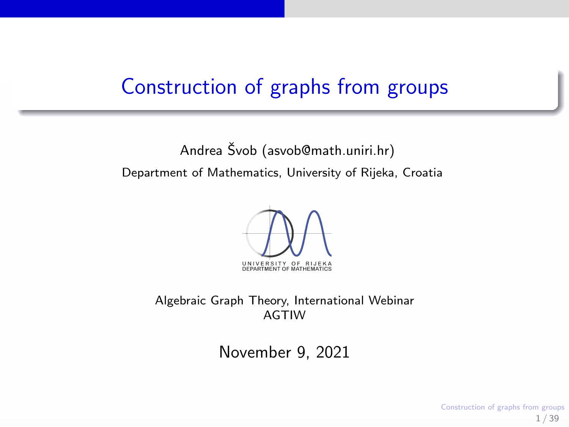## Construction of graphs from groups

Andrea Švob [\(asvob@math.uniri.hr\)](mailto:asvob@math.uniri.hr) Department of Mathematics, University of Rijeka, Croatia



Algebraic Graph Theory, International Webinar AGTIW

November 9, 2021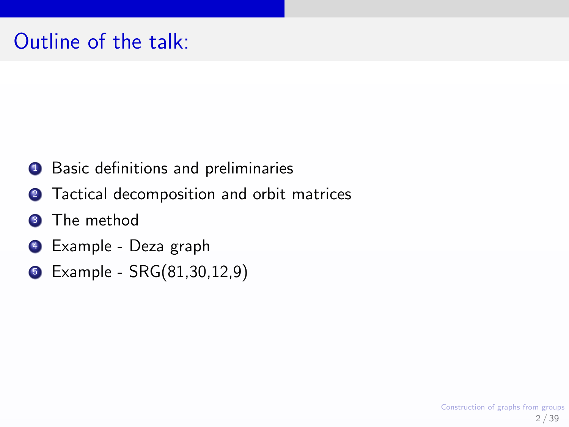# Outline of the talk:

- **1** Basic definitions and preliminaries
- 2 Tactical decomposition and orbit matrices
- **3** The method
- **4** Example Deza graph
- **5** Example SRG(81,30,12,9)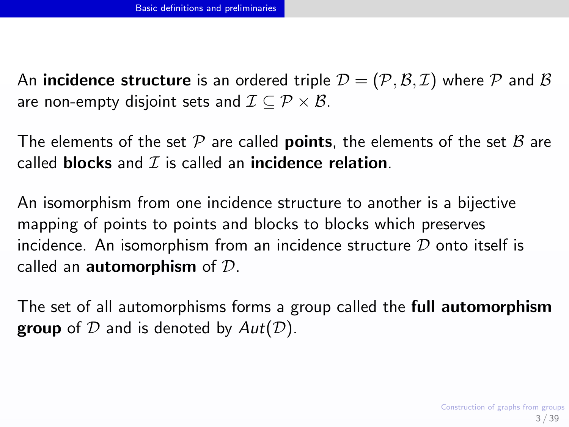<span id="page-2-0"></span>An **incidence structure** is an ordered triple  $\mathcal{D} = (\mathcal{P}, \mathcal{B}, \mathcal{I})$  where  $\mathcal P$  and  $\mathcal B$ are non-empty disjoint sets and  $\mathcal{I} \subseteq \mathcal{P} \times \mathcal{B}$ .

The elements of the set  $P$  are called **points**, the elements of the set  $B$  are called blocks and  $\mathcal I$  is called an incidence relation.

An isomorphism from one incidence structure to another is a bijective mapping of points to points and blocks to blocks which preserves incidence. An isomorphism from an incidence structure  $D$  onto itself is called an **automorphism** of  $D$ .

The set of all automorphisms forms a group called the full automorphism **group** of  $D$  and is denoted by  $Aut(D)$ .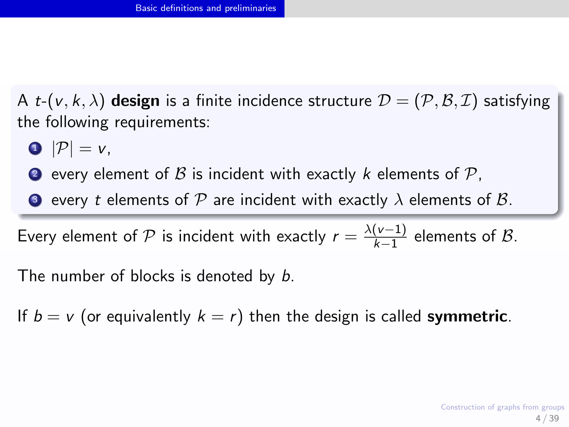A *t*-( $v, k, \lambda$ ) design is a finite incidence structure  $\mathcal{D} = (\mathcal{P}, \mathcal{B}, \mathcal{I})$  satisfying the following requirements:

$$
\bullet \ |\mathcal{P}|=v,
$$

**2** every element of  $\beta$  is incident with exactly k elements of  $\beta$ .

**3** every t elements of P are incident with exactly  $\lambda$  elements of B.

Every element of  $\mathcal P$  is incident with exactly  $r=\frac{\lambda(\nu-1)}{k-1}$  $\frac{(v-1)}{k-1}$  elements of  $\mathcal{B}$ .

The number of blocks is denoted by b.

If  $b = v$  (or equivalently  $k = r$ ) then the design is called **symmetric**.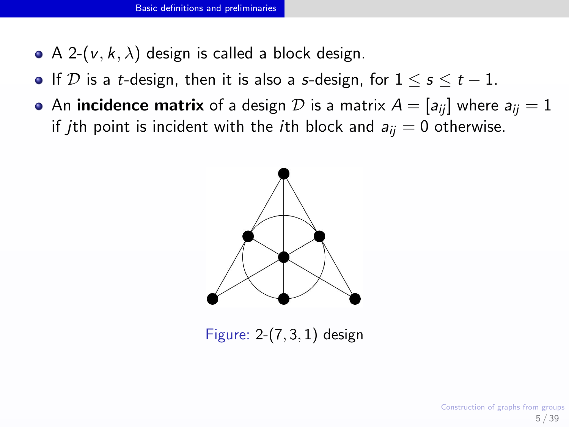- A 2-( $v, k, \lambda$ ) design is called a block design.
- If D is a t-design, then it is also a s-design, for  $1 \leq s \leq t-1$ .
- An incidence matrix of a design D is a matrix  $A = [a_{ii}]$  where  $a_{ii} = 1$ if *j*th point is incident with the *i*th block and  $a_{ij} = 0$  otherwise.



Figure: 2-(7, 3, 1) design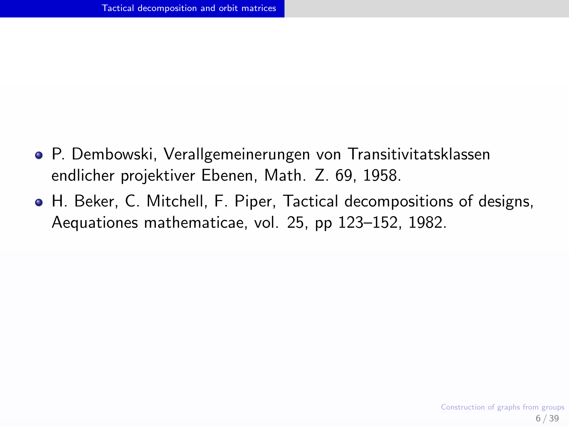- <span id="page-5-0"></span>P. Dembowski, Verallgemeinerungen von Transitivitatsklassen endlicher projektiver Ebenen, Math. Z. 69, 1958.
- H. Beker, C. Mitchell, F. Piper, Tactical decompositions of designs, Aequationes mathematicae, vol. 25, pp 123–152, 1982.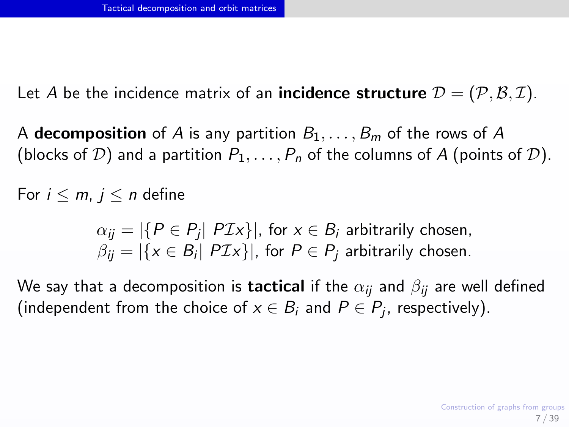Let A be the incidence matrix of an **incidence structure**  $\mathcal{D} = (\mathcal{P}, \mathcal{B}, \mathcal{I})$ .

A **decomposition** of A is any partition  $B_1, \ldots, B_m$  of the rows of A (blocks of D) and a partition  $P_1, \ldots, P_n$  of the columns of A (points of D).

For  $i \le m$ ,  $j \le n$  define

$$
\alpha_{ij} = |\{P \in P_j | P\mathcal{I}x\}|, \text{ for } x \in B_i \text{ arbitrarily chosen,}
$$
  

$$
\beta_{ij} = |\{x \in B_i | P\mathcal{I}x\}|, \text{ for } P \in P_j \text{ arbitrarily chosen.}
$$

We say that a decomposition is **tactical** if the  $\alpha_{ii}$  and  $\beta_{ii}$  are well defined (independent from the choice of  $x \in B_i$  and  $P \in P_j$ , respectively).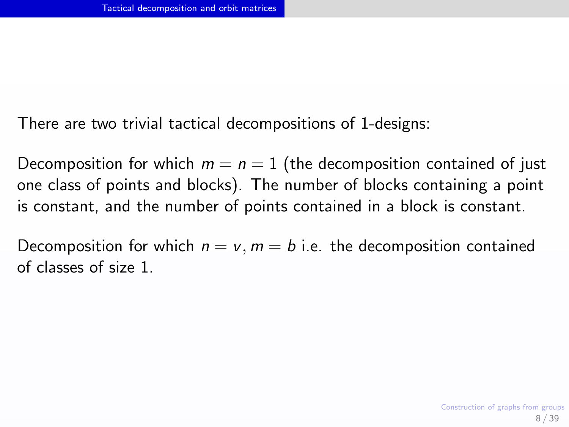There are two trivial tactical decompositions of 1-designs:

Decomposition for which  $m = n = 1$  (the decomposition contained of just one class of points and blocks). The number of blocks containing a point is constant, and the number of points contained in a block is constant.

Decomposition for which  $n = v$ ,  $m = b$  i.e. the decomposition contained of classes of size 1.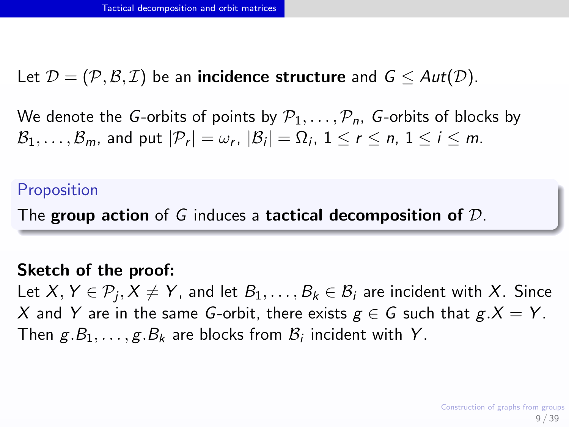Let  $\mathcal{D} = (\mathcal{P}, \mathcal{B}, \mathcal{I})$  be an **incidence structure** and  $\mathcal{G} \leq Aut(\mathcal{D})$ .

We denote the G-orbits of points by  $P_1, \ldots, P_n$ , G-orbits of blocks by  $\mathcal{B}_1,\ldots,\mathcal{B}_m$ , and put  $|\mathcal{P}_r|=\omega_r, |\mathcal{B}_i|=\Omega_i, 1\leq r\leq n, 1\leq i\leq m.$ 

## Proposition

The group action of G induces a tactical decomposition of  $\mathcal{D}$ .

### Sketch of the proof:

Let  $X,Y\in \mathcal{P}_j, X\neq Y$ , and let  $B_1,\ldots,B_k\in \mathcal{B}_i$  are incident with  $X.$  Since X and Y are in the same G-orbit, there exists  $g \in G$  such that  $g.X = Y$ . Then  $g.B_1, \ldots, g.B_k$  are blocks from  $\mathcal{B}_i$  incident with Y.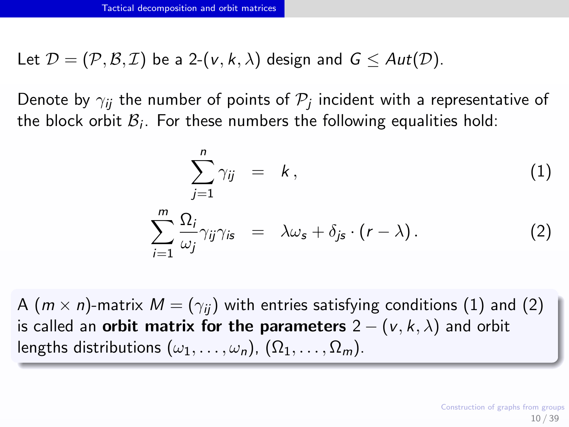Let  $\mathcal{D} = (\mathcal{P}, \mathcal{B}, \mathcal{I})$  be a 2-(v, k,  $\lambda$ ) design and  $\mathcal{G} < Aut(\mathcal{D})$ .

Denote by  $\gamma_{ij}$  the number of points of  $\mathcal{P}_j$  incident with a representative of the block orbit  $\mathcal{B}_i$ . For these numbers the following equalities hold:

$$
\sum_{j=1}^{n} \gamma_{ij} = k, \qquad (1)
$$
\n
$$
\sum_{i=1}^{m} \frac{\Omega_{i}}{\omega_{j}} \gamma_{ij} \gamma_{is} = \lambda \omega_{s} + \delta_{js} \cdot (r - \lambda). \qquad (2)
$$

A ( $m \times n$ )-matrix  $M = (\gamma_{ii})$  with entries satisfying conditions (1) and (2) is called an **orbit matrix for the parameters**  $2 - (v, k, \lambda)$  and orbit lengths distributions  $(\omega_1, \ldots, \omega_n)$ ,  $(\Omega_1, \ldots, \Omega_m)$ .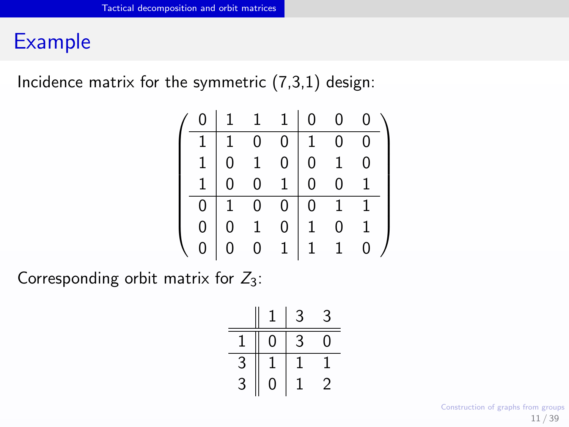## Example

Incidence matrix for the symmetric  $(7,3,1)$  design:

| ი |              | $\mathbf{1}$   | $1 \rightarrow$  | 0              | $\overline{0}$ |   |
|---|--------------|----------------|------------------|----------------|----------------|---|
|   | $\mathbf{1}$ | $\overline{0}$ | 0                | $\overline{1}$ | 0              | 0 |
|   |              | $\mathbf{1}$   | $\boldsymbol{0}$ |                | $\mathbf{1}$   |   |
|   |              | $\overline{0}$ | $\mathbf{1}$     |                | $\overline{0}$ |   |
| 0 |              | $\overline{0}$ | 0 <sup>1</sup>   | $\overline{0}$ | $\overline{1}$ |   |
| 0 |              | $\,1$          | 0                |                | 0              |   |
|   |              | $\overline{0}$ | $\overline{1}$   | $\mathbf{1}$   | $\mathbf{1}$   |   |

Corresponding orbit matrix for  $Z_3$ :

|   |   | $\mathfrak{Z}$ | 3 |
|---|---|----------------|---|
|   | 0 | 3              | O |
| 3 |   | T              |   |
| 3 | 0 |                | 2 |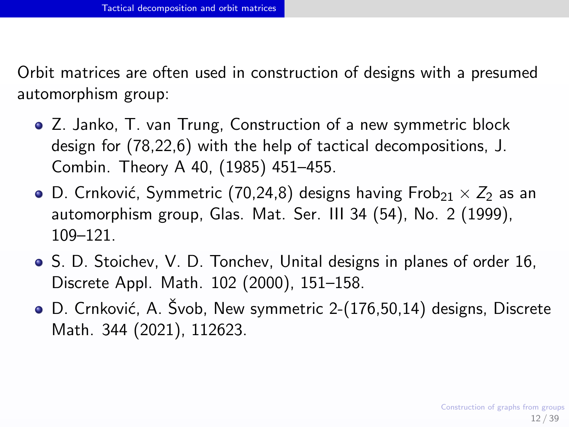Orbit matrices are often used in construction of designs with a presumed automorphism group:

- Z. Janko, T. van Trung, Construction of a new symmetric block design for (78,22,6) with the help of tactical decompositions, J. Combin. Theory A 40, (1985) 451–455.
- D. Crnković, Symmetric (70,24,8) designs having Frob $_{21} \times Z_2$  as an automorphism group, Glas. Mat. Ser. III 34 (54), No. 2 (1999), 109–121.
- S. D. Stoichev, V. D. Tonchev, Unital designs in planes of order 16, Discrete Appl. Math. 102 (2000), 151–158.
- D. Crnković, A. Švob, New symmetric 2-(176,50,14) designs, Discrete Math. 344 (2021), 112623.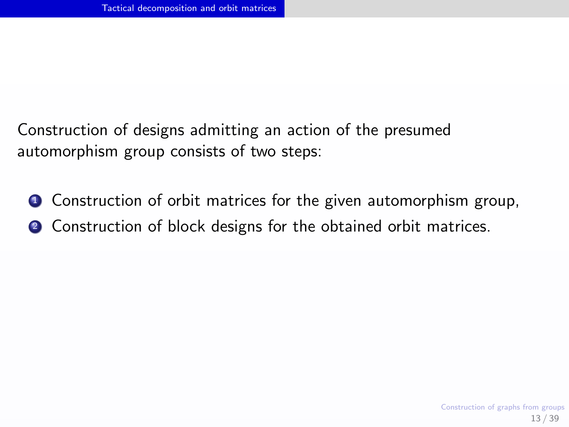Construction of designs admitting an action of the presumed automorphism group consists of two steps:

- **1** Construction of orbit matrices for the given automorphism group,
- **2** Construction of block designs for the obtained orbit matrices.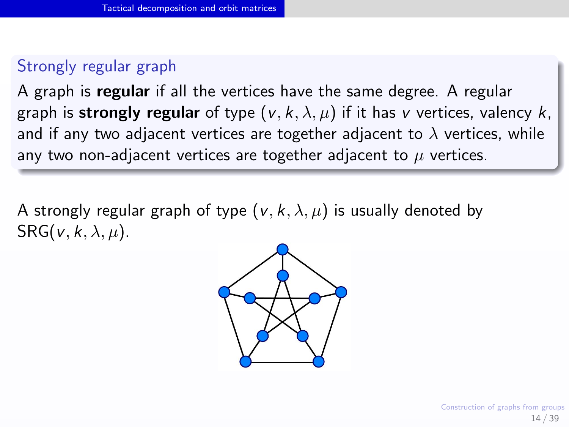## Strongly regular graph

A graph is regular if all the vertices have the same degree. A regular graph is strongly regular of type  $(v, k, \lambda, \mu)$  if it has v vertices, valency k, and if any two adjacent vertices are together adjacent to  $\lambda$  vertices, while any two non-adjacent vertices are together adjacent to  $\mu$  vertices.

A strongly regular graph of type  $(v, k, \lambda, \mu)$  is usually denoted by  $SRG(v, k, \lambda, \mu)$ .

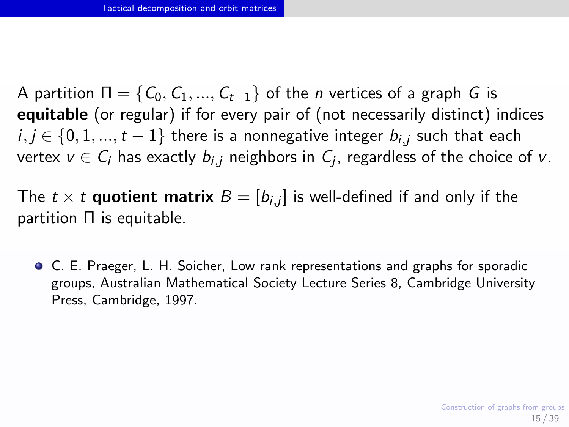A partition  $\Pi = \{C_0, C_1, ..., C_{t-1}\}\$  of the *n* vertices of a graph G is equitable (or regular) if for every pair of (not necessarily distinct) indices  $i, j \in \{0, 1, ..., t-1\}$  there is a nonnegative integer  $b_{i,j}$  such that each vertex  $v \in \mathcal{C}_i$  has exactly  $b_{i,j}$  neighbors in  $\mathcal{C}_j$ , regardless of the choice of  $v$ .

The  $t\times t$   $\boldsymbol{q}$ uotient matrix  $B=[b_{i,j}]$  is well-defined if and only if the partition Π is equitable.

C. E. Praeger, L. H. Soicher, Low rank representations and graphs for sporadic groups, Australian Mathematical Society Lecture Series 8, Cambridge University Press, Cambridge, 1997.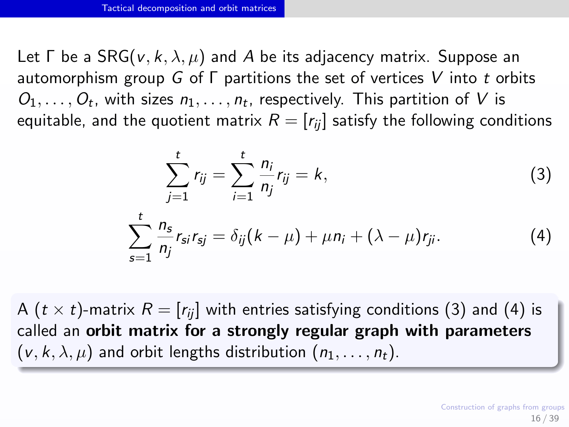Let  $\Gamma$  be a SRG( $v, k, \lambda, \mu$ ) and A be its adjacency matrix. Suppose an automorphism group G of  $\Gamma$  partitions the set of vertices V into t orbits  $O_1, \ldots, O_t$ , with sizes  $n_1, \ldots, n_t$ , respectively. This partition of V is equitable, and the quotient matrix  $R = [r_{ii}]$  satisfy the following conditions

<span id="page-15-1"></span><span id="page-15-0"></span>
$$
\sum_{j=1}^{t} r_{ij} = \sum_{i=1}^{t} \frac{n_i}{n_j} r_{ij} = k,
$$
\n(3)  
\n
$$
\sum_{s=1}^{t} \frac{n_s}{n_j} r_{si} r_{sj} = \delta_{ij} (k - \mu) + \mu n_i + (\lambda - \mu) r_{ji}.
$$

A ( $t \times t$ )-matrix  $R = [r_{ii}]$  with entries satisfying conditions [\(3\)](#page-15-0) and [\(4\)](#page-15-1) is called an orbit matrix for a strongly regular graph with parameters  $(v, k, \lambda, \mu)$  and orbit lengths distribution  $(n_1, \ldots, n_t)$ .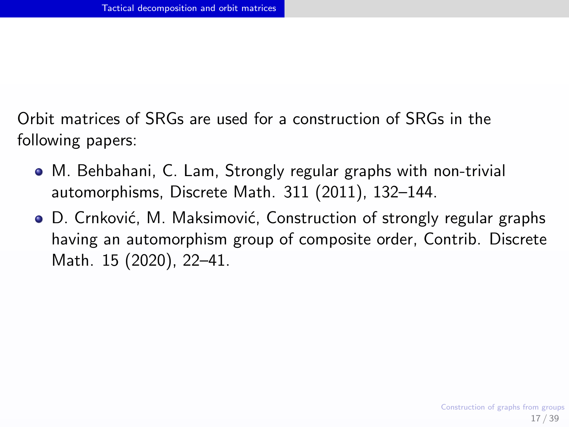Orbit matrices of SRGs are used for a construction of SRGs in the following papers:

- M. Behbahani, C. Lam, Strongly regular graphs with non-trivial automorphisms, Discrete Math. 311 (2011), 132–144.
- D. Crnković, M. Maksimović, Construction of strongly regular graphs having an automorphism group of composite order, Contrib. Discrete Math. 15 (2020), 22–41.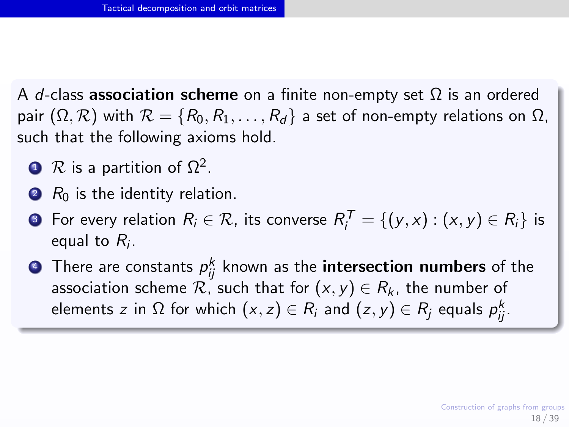A d-class **association scheme** on a finite non-empty set  $\Omega$  is an ordered pair  $(\Omega, \mathcal{R})$  with  $\mathcal{R} = \{R_0, R_1, \ldots, R_d\}$  a set of non-empty relations on  $\Omega$ , such that the following axioms hold.

- $\mathbf{D}$   $\mathcal{R}$  is a partition of  $\Omega^2$ .
- $\bullet$  R<sub>0</sub> is the identity relation.
- **3** For every relation  $R_i \in \mathcal{R}$ , its converse  $R_i^{\mathcal{T}} = \{(y, x) : (x, y) \in R_i\}$  is equal to  $R_i$ .

 $\bullet$  There are constants  $\rho_{ij}^k$  known as the  $\textbf{intersection}$  numbers of the association scheme  $\mathcal{R}$ , such that for  $(x, y) \in R_k$ , the number of elements  $z$  in  $\Omega$  for which  $(x,z)\in R_i$  and  $(z,y)\in R_j$  equals  $\rho_{ij}^k.$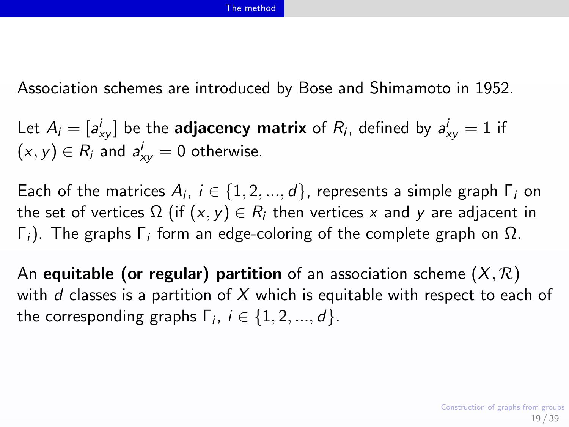<span id="page-18-0"></span>Association schemes are introduced by Bose and Shimamoto in 1952.

Let  $A_i = [a^i_{xy}]$  be the **adjacency matrix** of  $R_i$ , defined by  $a^i_{xy} = 1$  if  $(x, y) \in R_i$  and  $a_{xy}^i = 0$  otherwise.

Each of the matrices  $A_i,~i\in\{1,2,...,d\}$ , represents a simple graph  $\Gamma_i$  on the set of vertices  $\Omega$  (if  $(x, y) \in R_i$  then vertices x and y are adjacent in Γ<sub>i</sub>). The graphs Γ<sub>i</sub> form an edge-coloring of the complete graph on  $Ω$ .

An equitable (or regular) partition of an association scheme  $(X, \mathcal{R})$ with d classes is a partition of  $X$  which is equitable with respect to each of the corresponding graphs  $\Gamma_i$ ,  $i \in \{1,2,...,d\}$ .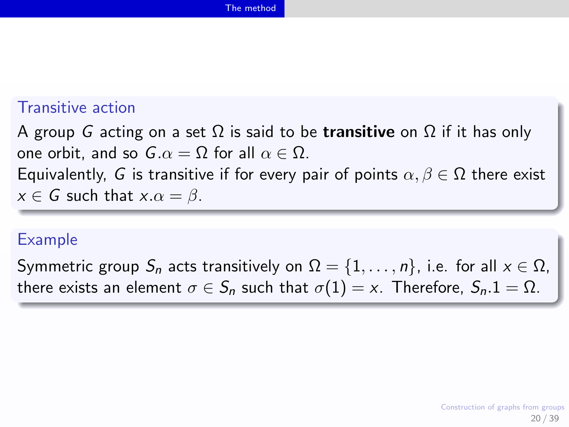## Transitive action

A group G acting on a set  $\Omega$  is said to be **transitive** on  $\Omega$  if it has only one orbit, and so  $G \cdot \alpha = \Omega$  for all  $\alpha \in \Omega$ . Equivalently, G is transitive if for every pair of points  $\alpha, \beta \in \Omega$  there exist  $x \in G$  such that  $x.\alpha = \beta$ .

### Example

Symmetric group  $S_n$  acts transitively on  $\Omega = \{1, \ldots, n\}$ , i.e. for all  $x \in \Omega$ , there exists an element  $\sigma \in S_n$  such that  $\sigma(1) = x$ . Therefore,  $S_n \cdot 1 = \Omega$ .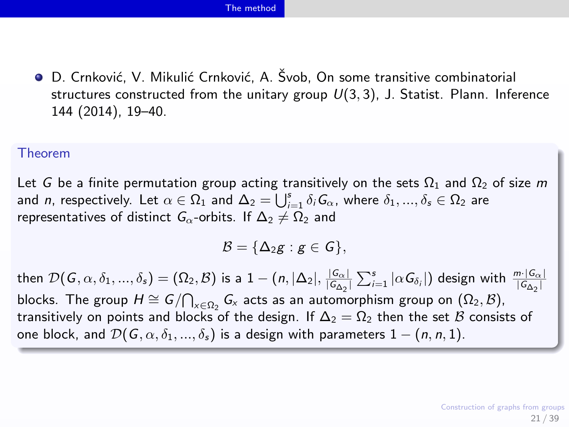#### [The method](#page-18-0)

● D. Crnković, V. Mikulić Crnković, A. Švob, On some transitive combinatorial structures constructed from the unitary group  $U(3, 3)$ , J. Statist. Plann. Inference 144 (2014), 19–40.

#### Theorem

Let G be a finite permutation group acting transitively on the sets  $\Omega_1$  and  $\Omega_2$  of size m and  $n$ , respectively. Let  $\alpha\in\Omega_1$  and  $\Delta_2=\bigcup_{i=1}^s\delta_i\bm{\mathit{G}}_\alpha$ , where  $\delta_1,...,\delta_s\in\Omega_2$  are representatives of distinct  $G_0$ -orbits. If  $\Delta_2 \neq \Omega_2$  and

$$
\mathcal{B}=\{\Delta_2g:g\in\mathcal{G}\},
$$

then  $\mathcal{D}(G, \alpha, \delta_1, ..., \delta_s) = (\Omega_2, \mathcal{B})$  is a  $1 - (n, |\Delta_2|, \frac{|\mathcal{G}_{\alpha}|}{|\mathcal{G}_{\Delta_2}|} \sum_{i=1}^s |\alpha G_{\delta_i}|)$  design with  $\frac{m \cdot |\mathcal{G}_{\alpha}|}{|\mathcal{G}_{\Delta_2}|}$ blocks. The group  $H \cong G/\bigcap_{x \in \Omega_2} G_x$  acts as an automorphism group on  $(\Omega_2, \mathcal{B})$ , transitively on points and blocks of the design. If  $\Delta_2 = \Omega_2$  then the set B consists of one block, and  $\mathcal{D}(G, \alpha, \delta_1, ..., \delta_s)$  is a design with parameters  $1 - (n, n, 1)$ .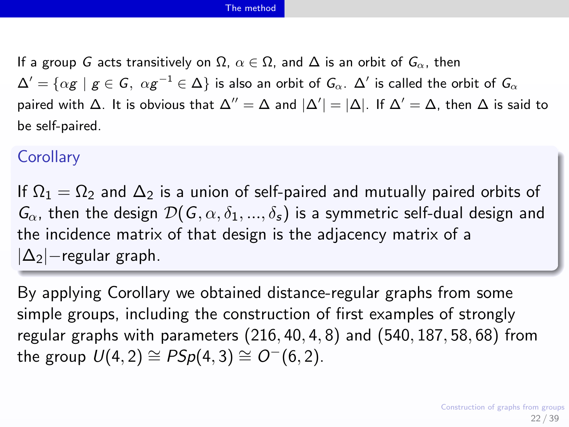If a group G acts transitively on  $\Omega$ ,  $\alpha \in \Omega$ , and  $\Delta$  is an orbit of  $G_{\alpha}$ , then  $\Delta'=\{\alpha g\,\,|\,\,g\in\mathsf{G},\;\alpha g^{-1}\in\Delta\}$  is also an orbit of  $\mathsf{G}_\alpha.$   $\Delta'$  is called the orbit of  $\mathsf{G}_\alpha$ paired with  $\Delta$ . It is obvious that  $\Delta''=\Delta$  and  $|\Delta'|=|\Delta|$ . If  $\Delta'=\Delta$ , then  $\Delta$  is said to be self-paired.

## **Corollary**

If  $\Omega_1 = \Omega_2$  and  $\Delta_2$  is a union of self-paired and mutually paired orbits of  $G_{\alpha}$ , then the design  $\mathcal{D}(G, \alpha, \delta_1, ..., \delta_s)$  is a symmetric self-dual design and the incidence matrix of that design is the adjacency matrix of a |∆2|−regular graph.

By applying Corollary we obtained distance-regular graphs from some simple groups, including the construction of first examples of strongly regular graphs with parameters  $(216, 40, 4, 8)$  and  $(540, 187, 58, 68)$  from the group  $U(4, 2) \cong PSp(4, 3) \cong O^-(6, 2)$ .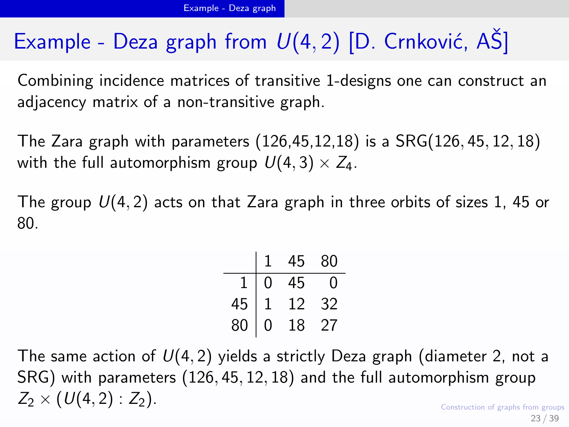# <span id="page-22-0"></span>Example - Deza graph from  $U(4, 2)$  [D. Crnković, AS]

Combining incidence matrices of transitive 1-designs one can construct an adjacency matrix of a non-transitive graph.

The Zara graph with parameters (126,45,12,18) is a SRG(126, 45, 12, 18) with the full automorphism group  $U(4, 3) \times Z_4$ .

The group  $U(4, 2)$  acts on that Zara graph in three orbits of sizes 1, 45 or 80.

|    |   | 45 | 80 |
|----|---|----|----|
| 1  | Ω | 45 | 1  |
| 45 |   | 12 | 32 |
| 80 | Ω | 18 | 27 |

Construction of graphs from groups The same action of  $U(4, 2)$  yields a strictly Deza graph (diameter 2, not a SRG) with parameters (126, 45, 12, 18) and the full automorphism group  $Z_2 \times (U(4, 2) : Z_2)$ .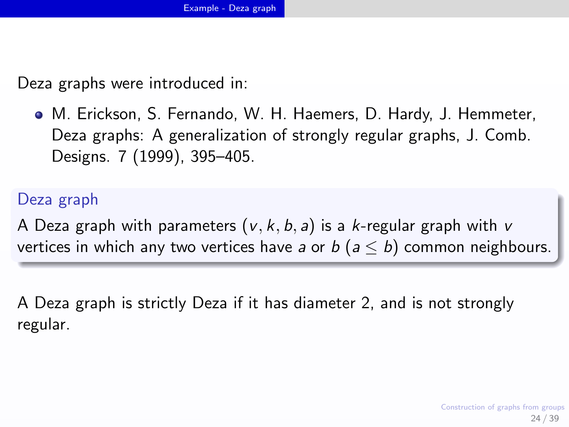Deza graphs were introduced in:

M. Erickson, S. Fernando, W. H. Haemers, D. Hardy, J. Hemmeter, Deza graphs: A generalization of strongly regular graphs, J. Comb. Designs. 7 (1999), 395–405.

## Deza graph

A Deza graph with parameters  $(v, k, b, a)$  is a k-regular graph with v vertices in which any two vertices have a or  $b$  ( $a \le b$ ) common neighbours.

A Deza graph is strictly Deza if it has diameter 2, and is not strongly regular.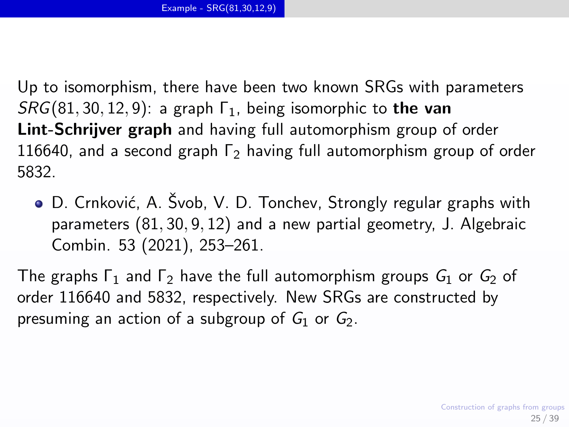<span id="page-24-0"></span>Up to isomorphism, there have been two known SRGs with parameters  $SRG(81, 30, 12, 9)$ : a graph  $\Gamma_1$ , being isomorphic to the van Lint-Schrijver graph and having full automorphism group of order 116640, and a second graph  $\Gamma_2$  having full automorphism group of order 5832.

● D. Crnković, A. Švob, V. D. Tonchev, Strongly regular graphs with parameters (81, 30, 9, 12) and a new partial geometry, J. Algebraic Combin. 53 (2021), 253–261.

The graphs  $\Gamma_1$  and  $\Gamma_2$  have the full automorphism groups  $G_1$  or  $G_2$  of order 116640 and 5832, respectively. New SRGs are constructed by presuming an action of a subgroup of  $G_1$  or  $G_2$ .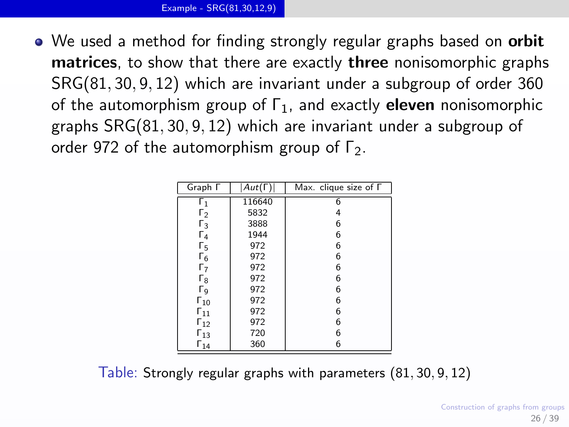• We used a method for finding strongly regular graphs based on **orbit** matrices, to show that there are exactly three nonisomorphic graphs SRG(81, 30, 9, 12) which are invariant under a subgroup of order 360 of the automorphism group of  $\Gamma_1$ , and exactly **eleven** nonisomorphic graphs SRG(81, 30, 9, 12) which are invariant under a subgroup of order 972 of the automorphism group of  $\Gamma_2$ .

| Graph <sub>F</sub>         | $Aut(\Gamma)$ | Max. clique size of $\Gamma$ |  |
|----------------------------|---------------|------------------------------|--|
| $\mathsf{r}_1$             | 116640        | $\overline{6}$               |  |
| $\mathsf{r}_2$             | 5832          | 4                            |  |
| $\mathsf{r}_3$             | 3888          | 6                            |  |
| Г4                         | 1944          | 6                            |  |
| Г5                         | 972           | 6                            |  |
| Г <sub>6</sub>             | 972           | 6                            |  |
| Г7                         | 972           | 6                            |  |
| $\mathsf{r}_\mathsf{8}$    | 972           | 6                            |  |
| Гg                         | 972           | 6                            |  |
| $\Gamma_{10}$              | 972           | 6                            |  |
| $\mathsf{r}_{\mathsf{11}}$ | 972           | 6                            |  |
| $\mathsf{r}_{12}$          | 972           | 6                            |  |
| $\Gamma_{13}$              | 720           | 6                            |  |
| $\mathsf{r}_{14}$          | 360           | 6                            |  |

Table: Strongly regular graphs with parameters (81, 30, 9, 12)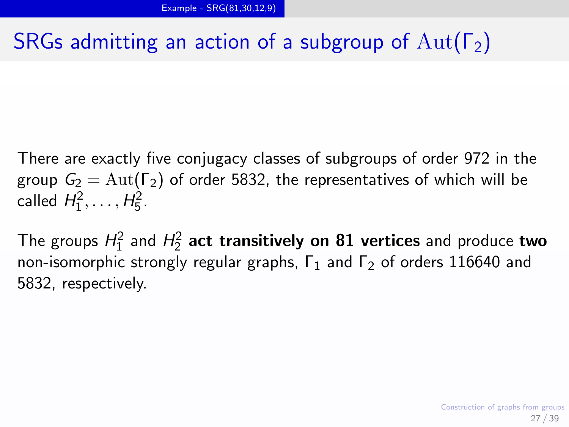# SRGs admitting an action of a subgroup of  $Aut(\Gamma_2)$

There are exactly five conjugacy classes of subgroups of order 972 in the group  $G_2 = \text{Aut}(\Gamma_2)$  of order 5832, the representatives of which will be called  $H_1^2, \ldots, H_5^2$ .

The groups  $H_1^2$  and  $H_2^2$  act transitively on  ${\bf 81}$  vertices and produce two non-isomorphic strongly regular graphs,  $\Gamma_1$  and  $\Gamma_2$  of orders 116640 and 5832, respectively.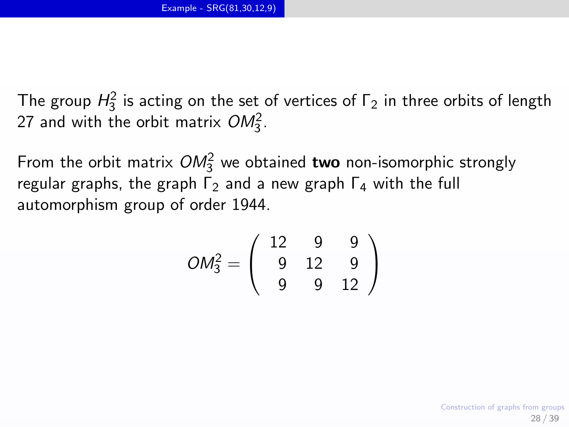The group  $H_3^2$  is acting on the set of vertices of  $\Gamma_2$  in three orbits of length 27 and with the orbit matrix  $OM_3^2$ .

From the orbit matrix  $OM_3^2$  we obtained **two** non-isomorphic strongly regular graphs, the graph  $\Gamma_2$  and a new graph  $\Gamma_4$  with the full automorphism group of order 1944.

$$
OM_3^2 = \left(\begin{array}{rrr} 12 & 9 & 9 \\ 9 & 12 & 9 \\ 9 & 9 & 12 \end{array}\right)
$$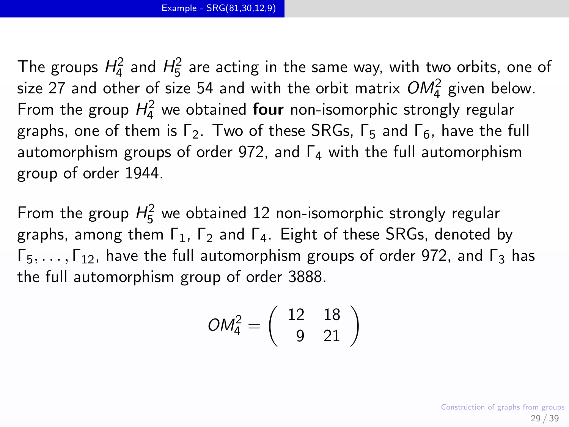The groups  $H_4^2$  and  $H_5^2$  are acting in the same way, with two orbits, one of size 27 and other of size 54 and with the orbit matrix  $OM_4^2$  given below. From the group  $H_4^2$  we obtained **four** non-isomorphic strongly regular graphs, one of them is  $\Gamma_2$ . Two of these SRGs,  $\Gamma_5$  and  $\Gamma_6$ , have the full automorphism groups of order 972, and  $\Gamma_4$  with the full automorphism group of order 1944.

From the group  $H_5^2$  we obtained 12 non-isomorphic strongly regular graphs, among them  $\Gamma_1$ ,  $\Gamma_2$  and  $\Gamma_4$ . Eight of these SRGs, denoted by  $\Gamma_5, \ldots, \Gamma_{12}$ , have the full automorphism groups of order 972, and  $\Gamma_3$  has the full automorphism group of order 3888.

$$
OM_4^2 = \left(\begin{array}{cc} 12 & 18\\ 9 & 21 \end{array}\right)
$$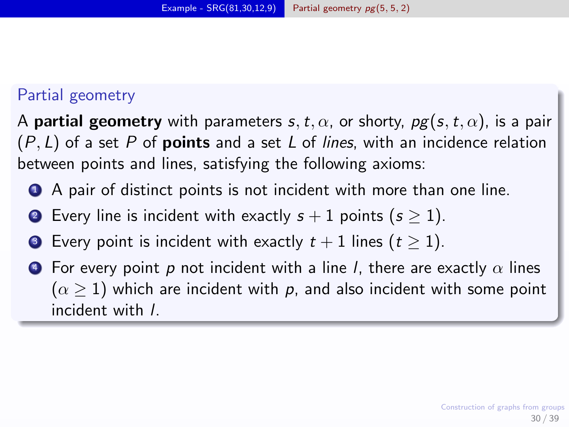## <span id="page-29-0"></span>Partial geometry

A partial geometry with parameters s, t,  $\alpha$ , or shorty,  $pg(s, t, \alpha)$ , is a pair  $(P, L)$  of a set P of **points** and a set L of lines, with an incidence relation between points and lines, satisfying the following axioms:

- **4** A pair of distinct points is not incident with more than one line.
- **2** Every line is incident with exactly  $s + 1$  points  $(s > 1)$ .
- **3** Every point is incident with exactly  $t + 1$  lines  $(t \ge 1)$ .
- $\bullet$  For every point p not incident with a line I, there are exactly  $\alpha$  lines  $(\alpha > 1)$  which are incident with p, and also incident with some point incident with l.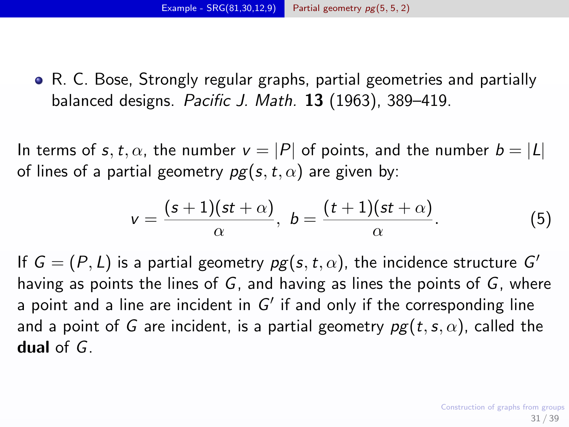R. C. Bose, Strongly regular graphs, partial geometries and partially balanced designs. Pacific J. Math. 13 (1963), 389–419.

In terms of s, t,  $\alpha$ , the number  $v = |P|$  of points, and the number  $b = |L|$ of lines of a partial geometry  $pg(s, t, \alpha)$  are given by:

$$
v = \frac{(s+1)(st+\alpha)}{\alpha}, \ b = \frac{(t+1)(st+\alpha)}{\alpha}.
$$
 (5)

If  $G = (P, L)$  is a partial geometry  $pg(s, t, \alpha)$ , the incidence structure  $G'$ having as points the lines of  $G$ , and having as lines the points of  $G$ , where a point and a line are incident in  $G'$  if and only if the corresponding line and a point of G are incident, is a partial geometry  $pg(t, s, \alpha)$ , called the dual of  $G$ .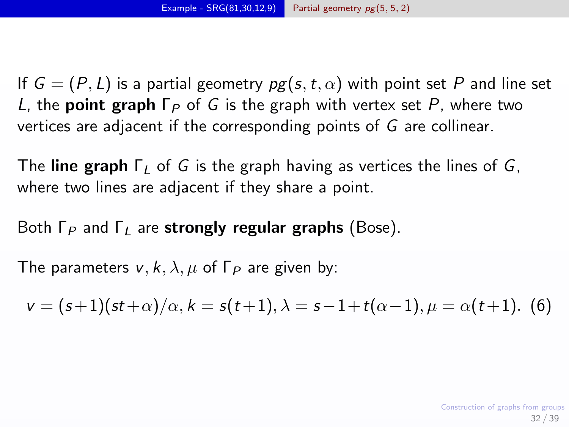If  $G = (P, L)$  is a partial geometry  $pg(s, t, \alpha)$  with point set P and line set L, the **point graph**  $\Gamma_P$  of G is the graph with vertex set P, where two vertices are adjacent if the corresponding points of G are collinear.

The line graph  $\Gamma_L$  of G is the graph having as vertices the lines of G, where two lines are adjacent if they share a point.

Both  $\Gamma_P$  and  $\Gamma_I$  are strongly regular graphs (Bose).

The parameters  $v, k, \lambda, \mu$  of  $\Gamma_P$  are given by:

<span id="page-31-0"></span>
$$
v = (s+1)(st+\alpha)/\alpha, k = s(t+1), \lambda = s-1+t(\alpha-1), \mu = \alpha(t+1).
$$
 (6)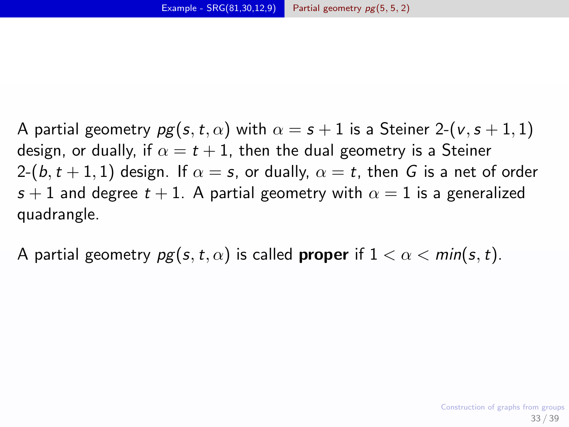A partial geometry  $pg(s,t,\alpha)$  with  $\alpha = s + 1$  is a Steiner 2-(v, s + 1, 1) design, or dually, if  $\alpha = t + 1$ , then the dual geometry is a Steiner 2- $(b, t + 1, 1)$  design. If  $\alpha = s$ , or dually,  $\alpha = t$ , then G is a net of order s + 1 and degree  $t + 1$ . A partial geometry with  $\alpha = 1$  is a generalized quadrangle.

A partial geometry  $pg(s, t, \alpha)$  is called **proper** if  $1 < \alpha < min(s, t)$ .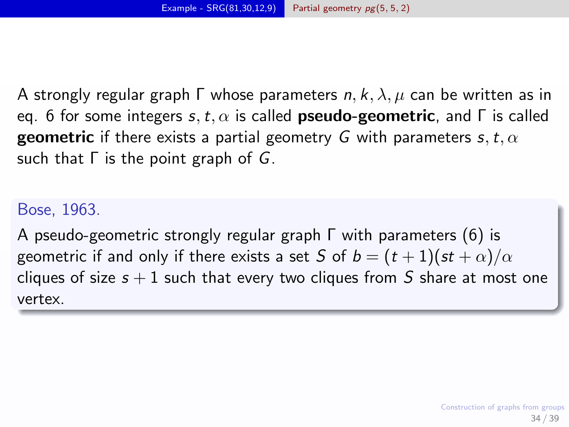A strongly regular graph  $\Gamma$  whose parameters n, k,  $\lambda$ ,  $\mu$  can be written as in eq. [6](#page-31-0) for some integers s, t,  $\alpha$  is called **pseudo-geometric**, and  $\Gamma$  is called **geometric** if there exists a partial geometry G with parameters s, t,  $\alpha$ such that  $\Gamma$  is the point graph of  $G$ .

## Bose, 1963.

A pseudo-geometric strongly regular graph Γ with parameters [\(6\)](#page-31-0) is geometric if and only if there exists a set S of  $b = (t + 1)(st + \alpha)/\alpha$ cliques of size  $s + 1$  such that every two cliques from S share at most one vertex.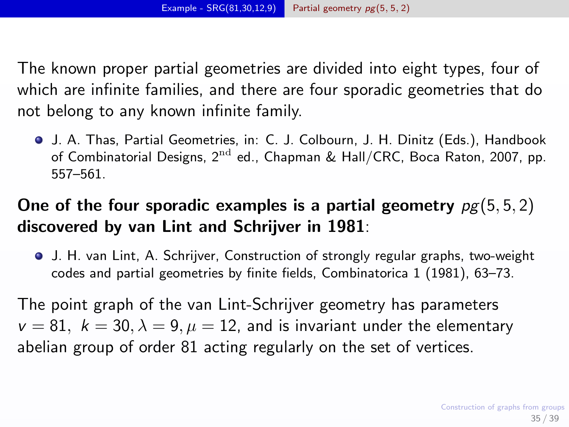The known proper partial geometries are divided into eight types, four of which are infinite families, and there are four sporadic geometries that do not belong to any known infinite family.

J. A. Thas, Partial Geometries, in: C. J. Colbourn, J. H. Dinitz (Eds.), Handbook of Combinatorial Designs,  $2^{nd}$  ed., Chapman & Hall/CRC, Boca Raton, 2007, pp. 557–561.

## One of the four sporadic examples is a partial geometry  $pq(5, 5, 2)$ discovered by van Lint and Schrijver in 1981:

J. H. van Lint, A. Schrijver, Construction of strongly regular graphs, two-weight codes and partial geometries by finite fields, Combinatorica 1 (1981), 63–73.

The point graph of the van Lint-Schrijver geometry has parameters  $v = 81$ ,  $k = 30$ ,  $\lambda = 9$ ,  $\mu = 12$ , and is invariant under the elementary abelian group of order 81 acting regularly on the set of vertices.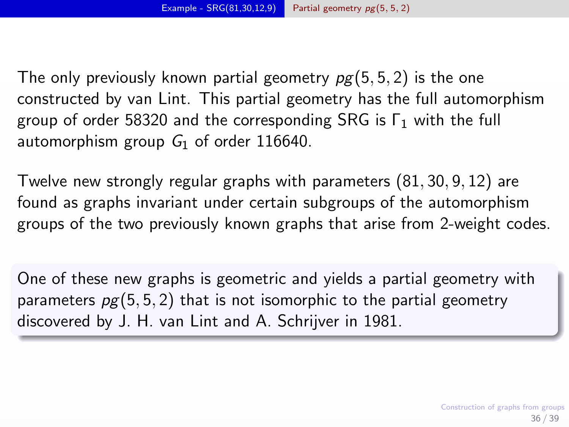The only previously known partial geometry  $pg(5, 5, 2)$  is the one constructed by van Lint. This partial geometry has the full automorphism group of order 58320 and the corresponding SRG is  $\Gamma_1$  with the full automorphism group  $G_1$  of order 116640.

Twelve new strongly regular graphs with parameters (81, 30, 9, 12) are found as graphs invariant under certain subgroups of the automorphism groups of the two previously known graphs that arise from 2-weight codes.

One of these new graphs is geometric and yields a partial geometry with parameters  $pg(5, 5, 2)$  that is not isomorphic to the partial geometry discovered by J. H. van Lint and A. Schrijver in 1981.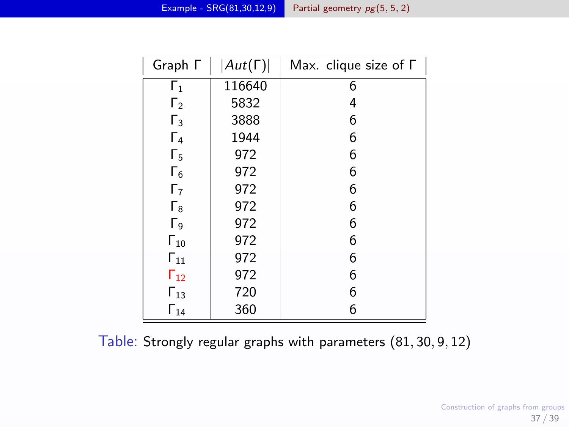| Graph $\Gamma$      | $ Aut(\Gamma) $ | Max. clique size of $\Gamma$ |
|---------------------|-----------------|------------------------------|
| Г1                  | 116640          | 6                            |
| $\mathsf{\Gamma}_2$ | 5832            | 4                            |
| $\Gamma_3$          | 3888            | 6                            |
| $\Gamma_4$          | 1944            | 6                            |
| Г5                  | 972             | 6                            |
| $\Gamma_6$          | 972             | 6                            |
| $\Gamma_7$          | 972             | 6                            |
| $\Gamma_8$          | 972             | 6                            |
| Гg                  | 972             | 6                            |
| $\Gamma_{10}$       | 972             | 6                            |
| $\Gamma_{11}$       | 972             | 6                            |
| $\Gamma_{12}$       | 972             | 6                            |
| $\Gamma_{13}$       | 720             | 6                            |
| $\Gamma_{14}$       | 360             | 6                            |

Table: Strongly regular graphs with parameters (81, 30, 9, 12)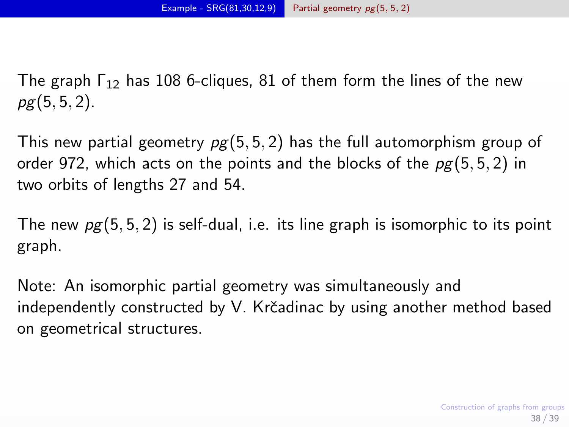The graph  $\Gamma_{12}$  has 108 6-cliques, 81 of them form the lines of the new  $pg(5, 5, 2)$ .

This new partial geometry  $pg(5, 5, 2)$  has the full automorphism group of order 972, which acts on the points and the blocks of the  $pg(5, 5, 2)$  in two orbits of lengths 27 and 54.

The new  $pg(5, 5, 2)$  is self-dual, i.e. its line graph is isomorphic to its point graph.

Note: An isomorphic partial geometry was simultaneously and independently constructed by V. Krčadinac by using another method based on geometrical structures.